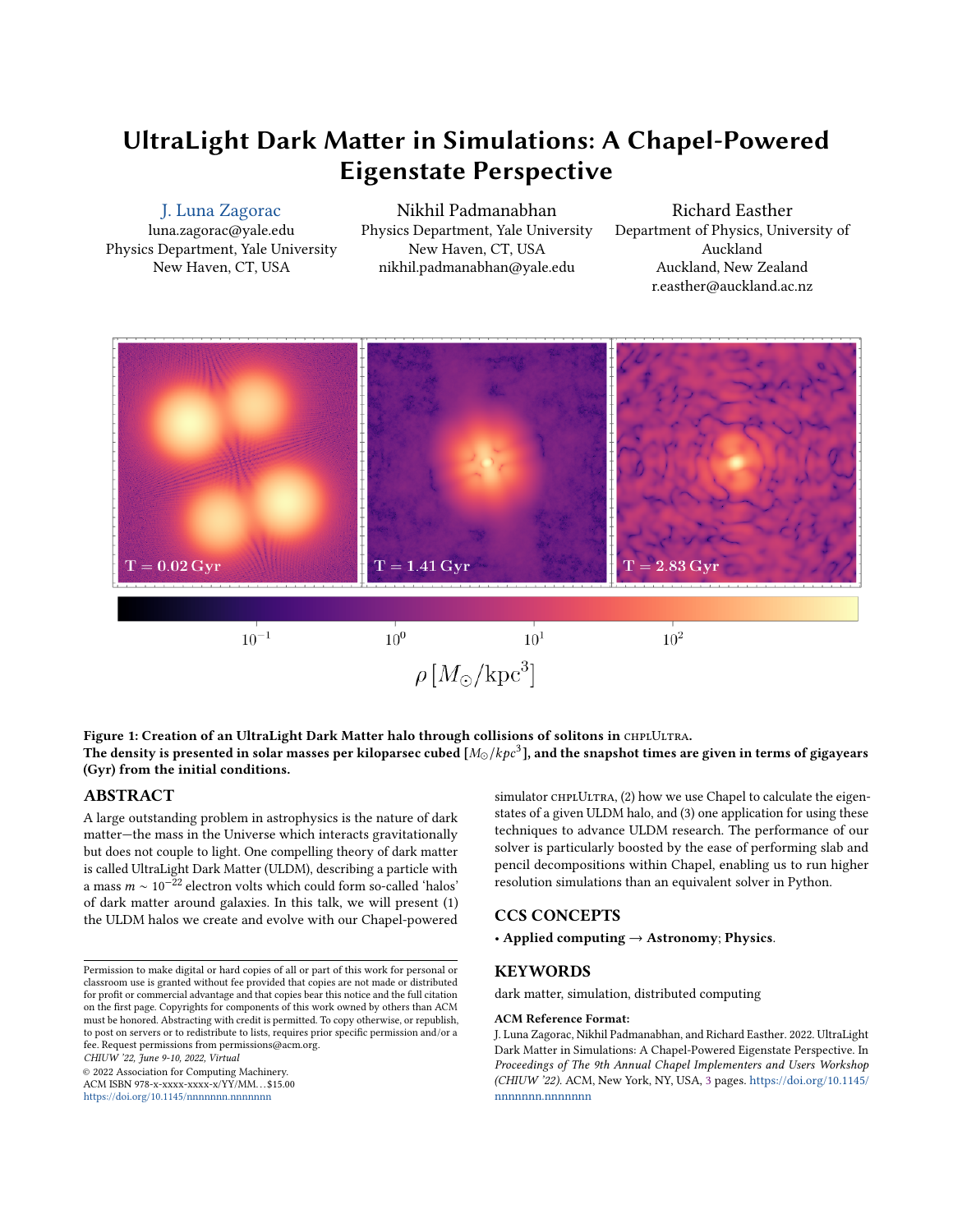# UltraLight Dark Matter in Simulations: A Chapel-Powered Eigenstate Perspective

# [J. Luna Zagorac](https://orcid.org/0000-0003-4504-1677)

luna.zagorac@yale.edu Physics Department, Yale University New Haven, CT, USA

Nikhil Padmanabhan Physics Department, Yale University New Haven, CT, USA nikhil.padmanabhan@yale.edu

Richard Easther Department of Physics, University of Auckland Auckland, New Zealand r.easther@auckland.ac.nz

<span id="page-0-0"></span>

Figure 1: Creation of an UltraLight Dark Matter halo through collisions of solitons in CHPLULTRA. The density is presented in solar masses per kiloparsec cubed [ $M_\odot/kpc^3$ ], and the snapshot times are given in terms of gigayears (Gyr) from the initial conditions.

## ABSTRACT

A large outstanding problem in astrophysics is the nature of dark matter—the mass in the Universe which interacts gravitationally but does not couple to light. One compelling theory of dark matter is called UltraLight Dark Matter (ULDM), describing a particle with a mass  $m \sim 10^{-22}$  electron volts which could form so-called 'halos' of dark matter around galaxies. In this talk, we will present (1) the ULDM halos we create and evolve with our Chapel-powered

Permission to make digital or hard copies of all or part of this work for personal or classroom use is granted without fee provided that copies are not made or distributed for profit or commercial advantage and that copies bear this notice and the full citation on the first page. Copyrights for components of this work owned by others than ACM must be honored. Abstracting with credit is permitted. To copy otherwise, or republish, to post on servers or to redistribute to lists, requires prior specific permission and/or a fee. Request permissions from permissions@acm.org.

CHIUW '22, June 9-10, 2022, Virtual

© 2022 Association for Computing Machinery.

ACM ISBN 978-x-xxxx-xxxx-x/YY/MM. . . \$15.00 <https://doi.org/10.1145/nnnnnnn.nnnnnnn>

simulator CHPLULTRA, (2) how we use Chapel to calculate the eigenstates of a given ULDM halo, and (3) one application for using these techniques to advance ULDM research. The performance of our solver is particularly boosted by the ease of performing slab and pencil decompositions within Chapel, enabling us to run higher resolution simulations than an equivalent solver in Python.

# CCS CONCEPTS

• Applied computing → Astronomy; Physics.

# **KEYWORDS**

dark matter, simulation, distributed computing

#### ACM Reference Format:

J. Luna Zagorac, Nikhil Padmanabhan, and Richard Easther. 2022. UltraLight Dark Matter in Simulations: A Chapel-Powered Eigenstate Perspective. In Proceedings of The 9th Annual Chapel Implementers and Users Workshop (CHIUW '22). ACM, New York, NY, USA, [3](#page-2-0) pages. [https://doi.org/10.1145/](https://doi.org/10.1145/nnnnnnn.nnnnnnn) [nnnnnnn.nnnnnnn](https://doi.org/10.1145/nnnnnnn.nnnnnnn)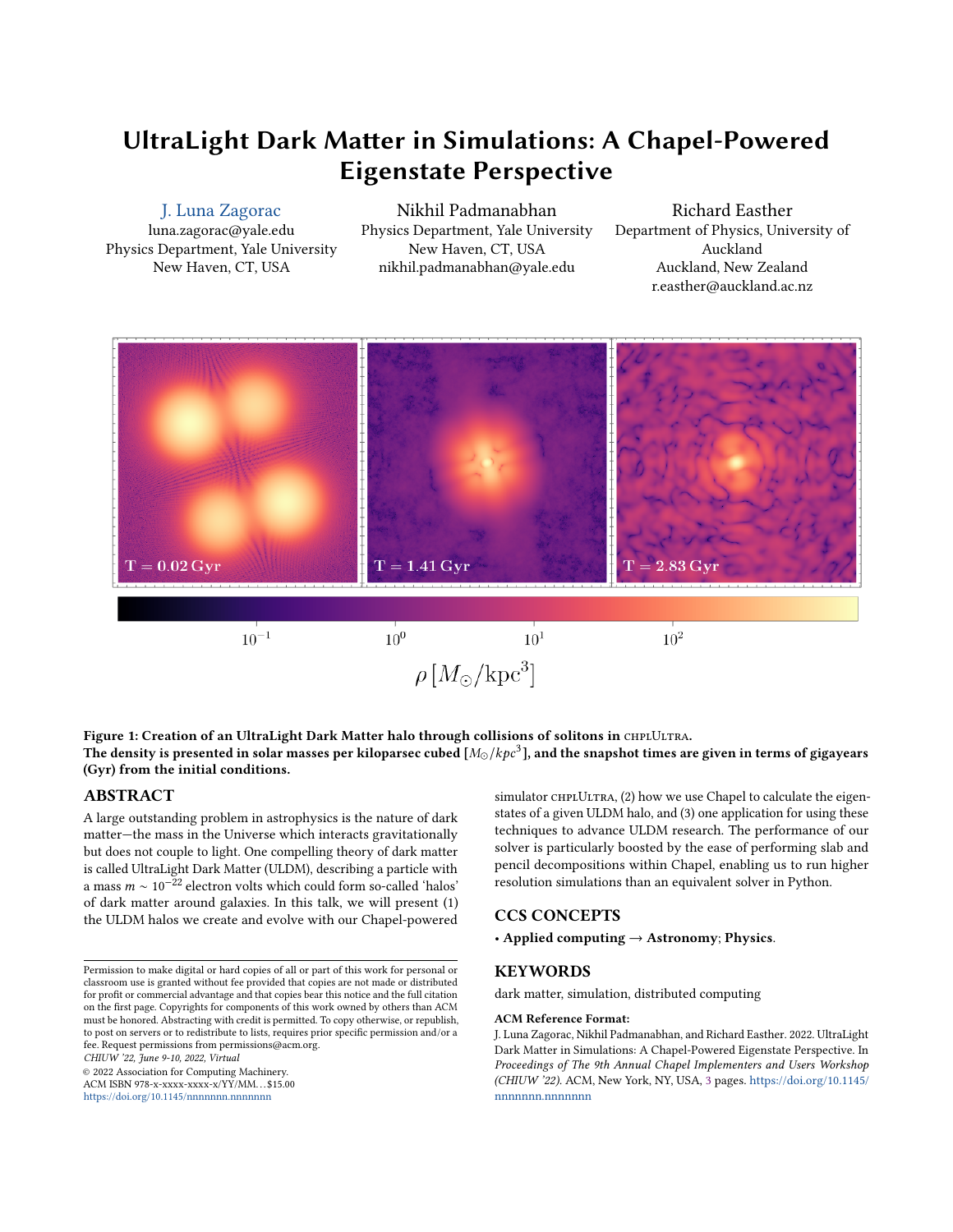## 1 EXTENDED ABSTRACT

## 1.1 The Physical Background

The story of the structures that make up our Universe is primarily told by gravity; gravity, in turn, is driven by mass. Despite its crucial role, about 80% of the mass in the cosmos cannot be observed directly as it does not interact with the light. Currently, most popular explanations for this so-called 'dark matter' rely on new types of particles; of those, one family of particles that has recently been gaining traction are axions and axion-like particles [\[7\]](#page-2-1). Axions could be easily created in the early Universe and offer a wide range of behavior depending on the particles' mass. In the case of low-particle masses, it becomes burdensome and inefficient to track individual particles; instead, the wavefunction description used in quantum mechanics is favored. This family of axions with  $m \ll 30$  eV (electon volts) is often called wave dark matter, with the very low mass extreme known as fuzzy or ultralight dark matter (ULDM)[\[3\]](#page-2-2). The low mass and wavefunction description of ULDM results in intriguing phenomenology of this dark matter candidate and its structures, which is the main topic of this talk.

Numerically simulating ULDM and its behavior requires solving the Schrödinger-Poisson system

$$
i\dot{\psi} = -\frac{1}{2}\nabla^2\psi + \Phi\psi\tag{1}
$$

$$
\nabla^2 \Phi = 4\pi |\psi|^2, \qquad (2)
$$

presented here in dimensionless code units. The first line is the Schrödinger equation, which governs the evolution of the dark matter's wavefunction  $\psi$ . While  $\psi$  is the fundamental building block of ULDM, the related observable quantity is actually the dark matter's density,  $\rho = |\psi|^2$ . The second line is known as the Poisson equation, and it describes the evolution of the dark matter's gravitational potential,  $\Phi$ , which depends only on the density  $|\psi|^2.$  We solve this system of equations using our Chapel-powered pseudo-spectral fixed grid code CHPLULTRA, described in Ref. [\[6\]](#page-2-3) and based on the algorithm described in Ref. [\[1\]](#page-2-4).

## 1.2 Simulating Halos with CHPLULTRA

A ULDM halo itself is not an eigenstate solution to the Schrödinger-Poisson system; instead, the system's ground state is a spherically symmetric mass with a known density distribution, known as a "soliton". One method of forming ULDM halos relies on merging multiple solitons. Their collisions will excite higher-order eigenstates of the system, resulting in a density profile which can be approximated as [\[4\]](#page-2-5)

$$
\rho(r) = \begin{cases} \rho_{sol}(r), & 0 \le r \le r_{\alpha} \\ \rho_{\text{NFW}}(r), & r_{\alpha} \le r \le r_{\text{vir}} \end{cases}
$$
\n(3)

where  $\rho_{sol}(r)$  is a soliton profile forming a "core",  $r_{\alpha}$  is a transition radius equal to a few times the full width half maximum (FWHM) of the soliton core, and  $\rho_{\rm NFW}$  is the Navarro-Frenk-White[\[5\]](#page-2-6) profile which falls off as  $r^{-3}$  at large radial distances.

A radial cross-section of a CHPLULTRA simulation depicting four merging solitons and the resultant dark matter halo is shown in the teaser figure, Fig. [1.](#page-0-0) This simulation was run on a Cray system with 44 cores per locale. The ran it in a numerical box of gridsize  $N_a^3 = 512^3$  using 16 locales, which took under 4 hours. This

<span id="page-1-0"></span>

Figure 2: Evolution of the spherically averaged halo profile,  $\rho(r)$ , in solar masses per kiloparsec cubed  $[M_\odot/kpc^3]$ . The instantaneous profiles at each saved timestep are shown in color. The time average of those profiles  $\langle \rho \rangle$  is shown in black.

is representative of our typical simulation, though sometimes we need to evolve our systems significantly longer; this still takes less than 12 hours. We also occasionally use a finer grid of  $768^3$  or  $1024^3$ ; using 64 locales, these simulations will take about 5 and 13 hours, respectively, which is very tractable for our purposes. See Ref. [\[6\]](#page-2-3) for more details on CHPLULTRA scaling.

The radially averaged density profile  $\rho(r)$  at each timestep after the merger shown in that middle panel  $(T = 1.41 \text{ Gyr})$  are shown in color in Fig. [2.](#page-1-0) Averaging those profiles together (equivalent to averaging over time), we recover the black line in Fig. [2.](#page-1-0) This type of time- and radially-averaged profile  $\langle \rho \rangle$  is crucial for our eigenstate analysis in the following subsections.

### 1.3 ULDM Halo Eigenstates

Having defined a time-averaged density profile  $\langle \rho \rangle$ , we can use the Poisson equation to calculate the corresponding gravitational potential ⟨Φ⟩. We can then write the decoupled Schrödinger equation as

$$
i\dot{\psi} = -\frac{1}{2}\nabla^2\psi + \langle \Phi \rangle \psi.
$$
 (4)

We are now able to calculate the eigenstates of the above formulation of the Schrödinger seeded by a spherically symmetric potential  $\langle \Phi \rangle$ . We perform this calculation by assuming the eigenstates  $\phi_{n\ell m}$ are separable as

$$
\phi_{n\ell m} = f_{n\ell}(r) Y_{\ell}^m(\theta, \phi), \qquad (5)
$$

as described in Ref. [\[8\]](#page-2-7). The radial piece  $f_{n\ell}(r)$  varies based on the exact shape of  $\langle \Phi \rangle$ , and is calculated in Mathematica; the angular piece is represented by well-known spherical harmonics  $Y_l^m(\theta, \phi)$ .

As a post-processing step of our CHPLULTRA simulations, we use Chapel to decompose each saved wavefunction grid of dimension  $N_q \times N_q \times N_q$  (stored as an HDF5 array) into spherical components up to  $\ell_{\text{max}} = 10$ ,  $|m_{\text{max}}| \leq \ell_{\text{max}}$ . It is convenient to perform this step separately from the radial calculation because it is independent of the exact system being evolved, so long as the eigenstates